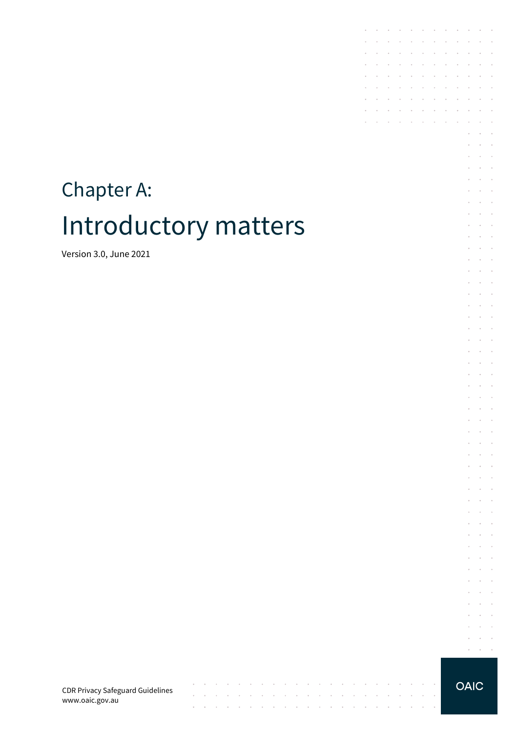# Chapter A: Introductory matters

Version 3.0, June 2021

**OAIC** 

 $\sim$ 

 $\sim$   $\sim$ 

 $\sim$  $\sim$ 

 $\bar{z}$ 

the contract of the con-

 $\sim$  $\sim$   $\sim$  $\mathcal{L}^{\text{max}}$  , and  $\mathcal{L}^{\text{max}}$  $\epsilon$  $\mathcal{L}_{\mathcal{A}}$  $\;$ 

 $\mathcal{L}$  $\sim$  $\bar{z}$  $\mathcal{L} = \mathcal{L} = \mathcal{L}$  $\mathcal{L}$  $\sim$  $\overline{\phantom{a}}$  $\sim$   $\sim$  $\ddot{\phantom{a}}$ 

 $\sim$  $\sim$  $\sim$  $\mathcal{L}^{\text{max}}$  , and  $\mathcal{L}^{\text{max}}$  $\alpha$  ,  $\alpha$  ,  $\alpha$ 

and the company of the com-

 $\sim$   $\sim$ 

 $\sim$   $\sim$  $\mathbb{R}^2$  $\mathcal{L}$ 

 $\sim$   $\sim$  $\mathbf{r}$ 

and the company

and the company of

 $\sim$   $\sim$ 

 $\mathcal{L}^{\text{max}}$ 

÷  $\mathbf{r}$ 

 $\sim$ 

 $\bar{z}$ 

÷.  $\mathcal{L}$  $\overline{\phantom{a}}$  $\mathcal{L}^{\text{max}}$  and  $\mathcal{L}^{\text{max}}$  $\mathcal{L}$  $\bar{z}$  $\sim$  $\sim$   $^{-1}$  $\mathcal{L}^{\text{max}}$  , and  $\mathcal{L}^{\text{max}}$ 

 $\alpha$  ,  $\alpha$  ,  $\alpha$  ,  $\alpha$  $\mathcal{L}^{\text{max}}$  $\sim$  $\epsilon$  $\mathcal{L}$  $\mathcal{L}$  $\;$  $\mathcal{L} = \mathcal{L} = \mathcal{L}$ ÷.  $\mathcal{L}_{\mathcal{A}}$  $\overline{\phantom{a}}$  $\mathcal{L}$  $\sim$  $\alpha$  ,  $\alpha$  ,  $\alpha$  ,  $\alpha$  $\epsilon$  $\mathcal{L}_{\mathcal{A}}$  $\ddot{\phantom{a}}$ 

 $\sim$  $\mathcal{L}_{\mathcal{A}}$  $\sim$  $\mathcal{L} = \mathcal{L} = \mathcal{L}$  $\epsilon$  $\sim$  $\bar{z}$  $\mathcal{L}^{\text{max}}$  and  $\mathcal{L}^{\text{max}}$  $\sim$  $\sim$  $\overline{\phantom{a}}$ 

 $\sim$  $\sim$  $\sim$  $\mathcal{L}^{\text{max}}$  and  $\mathcal{L}^{\text{max}}$  $\mathcal{L}$  $\mathcal{L}_{\mathcal{A}}$  $\sim$ and the control  $\mathcal{L}^{\text{max}}$  ,  $\mathcal{L}^{\text{max}}$  $\epsilon$  $\mathcal{L}_{\mathcal{A}}$  $\mathcal{L}^{\text{max}}$  and  $\mathcal{L}^{\text{max}}$  $\alpha$  ,  $\alpha$  ,  $\alpha$  ,  $\alpha$  $\overline{\phantom{a}}$  $\mathcal{L} = \mathcal{L} = \mathcal{L}$  $\mathcal{L}^{\text{max}}$  and  $\sim$  $\overline{\phantom{a}}$  $\mathcal{L}^{\text{max}}$  and  $\mathcal{L}^{\text{max}}$  $\mathcal{L}^{\text{max}}$  and  $\mathcal{L}^{\text{max}}$ 

 $\overline{\phantom{a}}$ 

 $\sim$ 

 $\sim$  $\mathcal{L}_{\mathcal{A}}$ 

 $\mathbb{R}^2$ 

 $\epsilon$ 

÷. ÷  $\sim$  $\sim$  $\mathcal{L}^{\text{max}}$ 

 $\ddot{\phantom{a}}$  $\overline{\phantom{a}}$  $\bar{z}$  $\sim$ 

 $\mathcal{L}$  $\ddot{\phantom{a}}$  $\mathcal{L}$  $\mathcal{L}_{\mathcal{A}}$  $\mathcal{L}$  $\sim$ 

÷.  $\mathcal{L}$  $\sim$  $\sim$  $\sim$  $\sim$  $\sim$  $\sim$  $\sim$  $\sim$ 

 $\sim$ 

 $\cdot$  $\sim$ 

 $\mathcal{L}^{\text{max}}$ 

 $\sim$ 

 $\epsilon$  $\sim$  $\sim$  $\sim$  $\sim$ 

 $\mathcal{L}^{\mathcal{A}}$  . The contribution of the contribution of  $\mathcal{L}^{\mathcal{A}}$ 

**Service** State

CDR Privacy Safeguard Guidelines www.oaic.gov.au

 $\alpha$  ,  $\beta$  ,  $\beta$ 

 $\cdot$ 

 $\sim$ 

 $\mathcal{L}^{\mathcal{A}}$  , and  $\mathcal{L}^{\mathcal{A}}$  , and  $\mathcal{L}^{\mathcal{A}}$ 

 $\sim$ 

 $\sim$ 

 $\alpha$  . The second second  $\alpha$ 

 $\sim$   $\sim$  $\sim$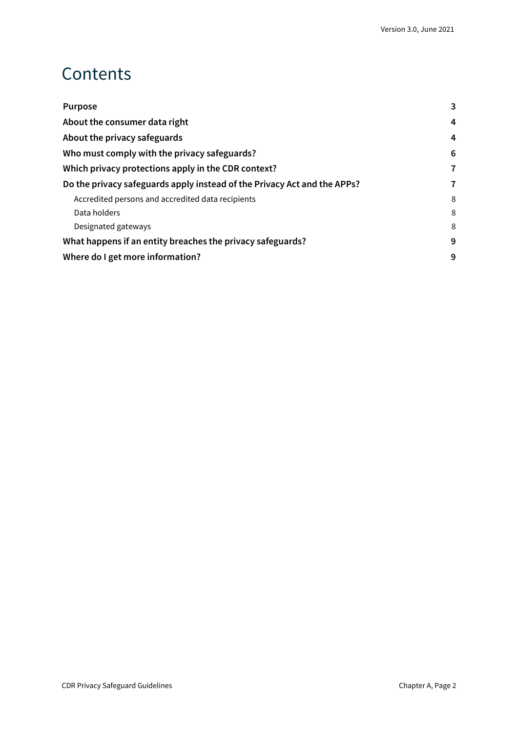#### Contents

| <b>Purpose</b>                                                           | 3 |
|--------------------------------------------------------------------------|---|
| About the consumer data right                                            |   |
| About the privacy safeguards                                             | 4 |
| Who must comply with the privacy safeguards?                             | 6 |
| Which privacy protections apply in the CDR context?                      | 7 |
| Do the privacy safeguards apply instead of the Privacy Act and the APPs? |   |
| Accredited persons and accredited data recipients                        | 8 |
| Data holders                                                             | 8 |
| Designated gateways                                                      | 8 |
| What happens if an entity breaches the privacy safeguards?               |   |
| Where do I get more information?                                         |   |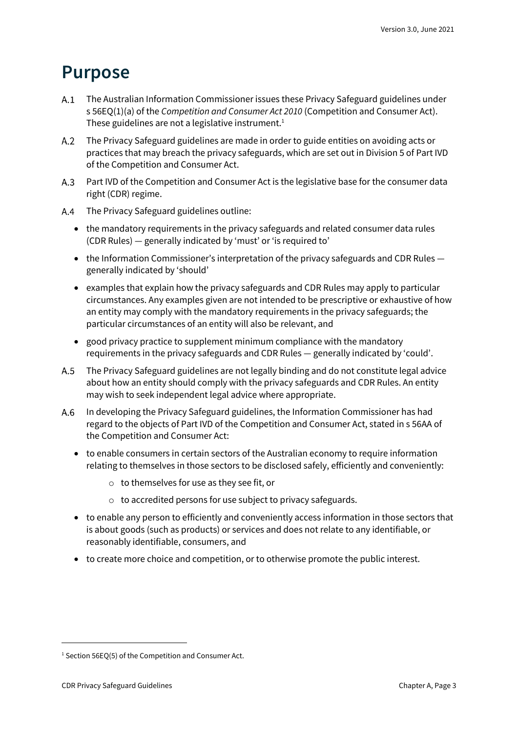#### <span id="page-2-0"></span>**Purpose**

- The Australian Information Commissioner issues these Privacy Safeguard guidelines under s 56EQ(1)(a) of the *Competition and Consumer Act 2010* (Competition and Consumer Act). These guidelines are not a legislative instrument. $1$
- The Privacy Safeguard guidelines are made in order to guide entities on avoiding acts or practices that may breach the privacy safeguards, which are set out in Division 5 of Part IVD of the Competition and Consumer Act.
- A.3 Part IVD of the Competition and Consumer Act is the legislative base for the consumer data right (CDR) regime.
- The Privacy Safeguard guidelines outline:
	- the mandatory requirements in the privacy safeguards and related consumer data rules (CDR Rules) — generally indicated by 'must' or 'is required to'
	- the Information Commissioner's interpretation of the privacy safeguards and CDR Rules generally indicated by 'should'
	- examples that explain how the privacy safeguards and CDR Rules may apply to particular circumstances. Any examples given are not intended to be prescriptive or exhaustive of how an entity may comply with the mandatory requirements in the privacy safeguards; the particular circumstances of an entity will also be relevant, and
	- good privacy practice to supplement minimum compliance with the mandatory requirements in the privacy safeguards and CDR Rules — generally indicated by 'could'.
- $A.5$ The Privacy Safeguard guidelines are not legally binding and do not constitute legal advice about how an entity should comply with the privacy safeguards and CDR Rules. An entity may wish to seek independent legal advice where appropriate.
- In developing the Privacy Safeguard guidelines, the Information Commissioner has had  $A.6$ regard to the objects of Part IVD of the Competition and Consumer Act, stated in s 56AA of the Competition and Consumer Act:
	- to enable consumers in certain sectors of the Australian economy to require information relating to themselves in those sectors to be disclosed safely, efficiently and conveniently:
		- o to themselves for use as they see fit, or
		- o to accredited persons for use subject to privacy safeguards.
	- to enable any person to efficiently and conveniently access information in those sectors that is about goods (such as products) or services and does not relate to any identifiable, or reasonably identifiable, consumers, and
	- to create more choice and competition, or to otherwise promote the public interest.

<sup>&</sup>lt;sup>1</sup> Section 56EQ(5) of the Competition and Consumer Act.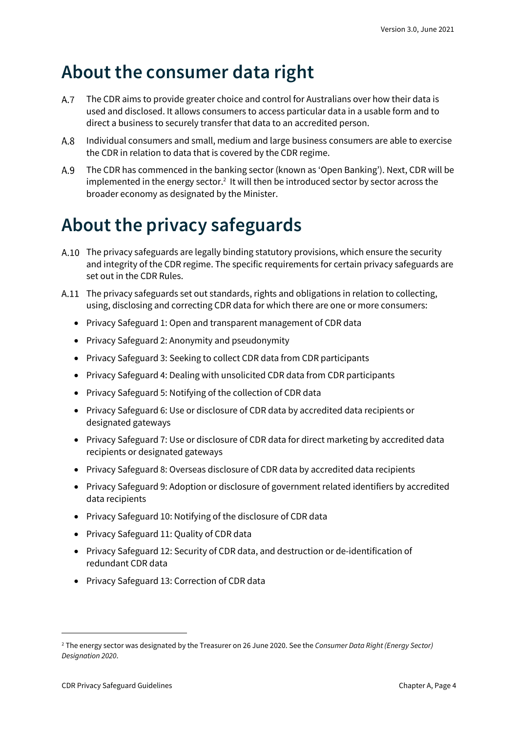## <span id="page-3-0"></span>**About the consumer data right**

- $A.7$ The CDR aims to provide greater choice and control for Australians over how their data is used and disclosed. It allows consumers to access particular data in a usable form and to direct a business to securely transfer that data to an accredited person.
- Individual consumers and small, medium and large business consumers are able to exercise  $A.8$ the CDR in relation to data that is covered by the CDR regime.
- The CDR has commenced in the banking sector (known as 'Open Banking'). Next, CDR will be  $A.9$ implemented in the energy sector.<sup>2</sup> It will then be introduced sector by sector across the broader economy as designated by the Minister.

# <span id="page-3-1"></span>**About the privacy safeguards**

- A.10 The privacy safeguards are legally binding statutory provisions, which ensure the security and integrity of the CDR regime. The specific requirements for certain privacy safeguards are set out in the CDR Rules.
- A.11 The privacy safeguards set out standards, rights and obligations in relation to collecting, using, disclosing and correcting CDR data for which there are one or more consumers:
	- Privacy Safeguard 1: Open and transparent management of CDR data
	- Privacy Safeguard 2: Anonymity and pseudonymity
	- Privacy Safeguard 3: Seeking to collect CDR data from CDR participants
	- Privacy Safeguard 4: Dealing with unsolicited CDR data from CDR participants
	- Privacy Safeguard 5: Notifying of the collection of CDR data
	- Privacy Safeguard 6: Use or disclosure of CDR data by accredited data recipients or designated gateways
	- Privacy Safeguard 7: Use or disclosure of CDR data for direct marketing by accredited data recipients or designated gateways
	- Privacy Safeguard 8: Overseas disclosure of CDR data by accredited data recipients
	- Privacy Safeguard 9: Adoption or disclosure of government related identifiers by accredited data recipients
	- Privacy Safeguard 10: Notifying of the disclosure of CDR data
	- Privacy Safeguard 11: Quality of CDR data
	- Privacy Safeguard 12: Security of CDR data, and destruction or de-identification of redundant CDR data
	- Privacy Safeguard 13: Correction of CDR data

<sup>2</sup> The energy sector was designated by the Treasurer on 26 June 2020. See the *Consumer Data Right (Energy Sector) Designation 2020*.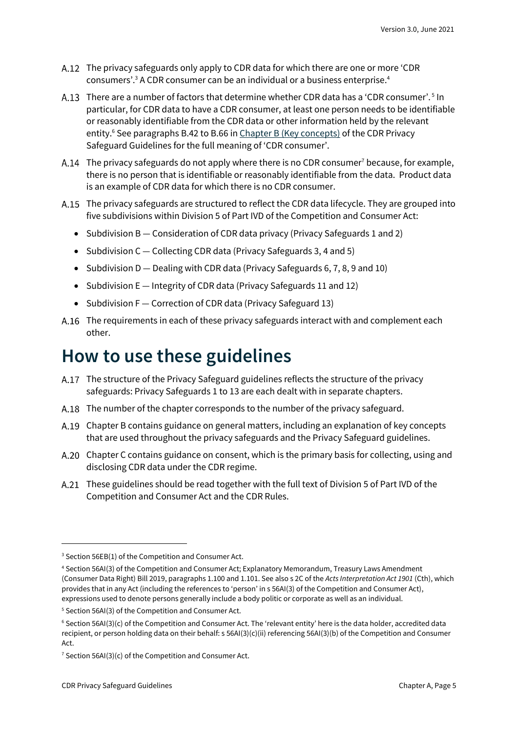- The privacy safeguards only apply to CDR data for which there are one or more 'CDR consumers'.<sup>3</sup> A CDR consumer can be an individual or a business enterprise.<sup>4</sup>
- There are a number of factors that determine whether CDR data has a 'CDR consumer'.<sup>5</sup> In particular, for CDR data to have a CDR consumer, at least one person needs to be identifiable or reasonably identifiable from the CDR data or other information held by the relevant entity.<sup>6</sup> See paragraphs B.42 to B.66 in *[Chapter B \(Key concepts\)](https://www.oaic.gov.au/consumer-data-right/cdr-privacy-safeguard-guidelines/chapter-b-key-concepts/)* of the CDR Privacy Safeguard Guidelines for the full meaning of 'CDR consumer'.
- A.14 The privacy safeguards do not apply where there is no CDR consumer<sup>7</sup> because, for example, there is no person that is identifiable or reasonably identifiable from the data. Product data is an example of CDR data for which there is no CDR consumer.
- A.15 The privacy safeguards are structured to reflect the CDR data lifecycle. They are grouped into five subdivisions within Division 5 of Part IVD of the Competition and Consumer Act:
	- Subdivision B Consideration of CDR data privacy (Privacy Safeguards 1 and 2)
	- Subdivision C Collecting CDR data (Privacy Safeguards 3, 4 and 5)
	- Subdivision D Dealing with CDR data (Privacy Safeguards 6, 7, 8, 9 and 10)
	- Subdivision E Integrity of CDR data (Privacy Safeguards 11 and 12)
	- Subdivision F Correction of CDR data (Privacy Safeguard 13)
- The requirements in each of these privacy safeguards interact with and complement each other.

#### **How to use these guidelines**

- The structure of the Privacy Safeguard guidelines reflects the structure of the privacy safeguards: Privacy Safeguards 1 to 13 are each dealt with in separate chapters.
- A.18 The number of the chapter corresponds to the number of the privacy safeguard.
- Chapter B contains guidance on general matters, including an explanation of key concepts that are used throughout the privacy safeguards and the Privacy Safeguard guidelines.
- A.20 Chapter C contains guidance on consent, which is the primary basis for collecting, using and disclosing CDR data under the CDR regime.
- A.21 These guidelines should be read together with the full text of Division 5 of Part IVD of the Competition and Consumer Act and the CDR Rules.

<sup>&</sup>lt;sup>3</sup> Section 56EB(1) of the Competition and Consumer Act.

<sup>4</sup> Section 56AI(3) of the Competition and Consumer Act; Explanatory Memorandum, Treasury Laws Amendment (Consumer Data Right) Bill 2019, paragraphs 1.100 and 1.101. See also s 2C of the *Acts Interpretation Act 1901* (Cth), which provides that in any Act (including the references to 'person' in s 56AI(3) of the Competition and Consumer Act), expressions used to denote persons generally include a body politic or corporate as well as an individual.

<sup>5</sup> Section 56AI(3) of the Competition and Consumer Act.

 $6$  Section 56AI(3)(c) of the Competition and Consumer Act. The 'relevant entity' here is the data holder, accredited data recipient, or person holding data on their behalf: s 56AI(3)(c)(ii) referencing 56AI(3)(b) of the Competition and Consumer Act.

<sup>&</sup>lt;sup>7</sup> Section 56AI(3)(c) of the Competition and Consumer Act.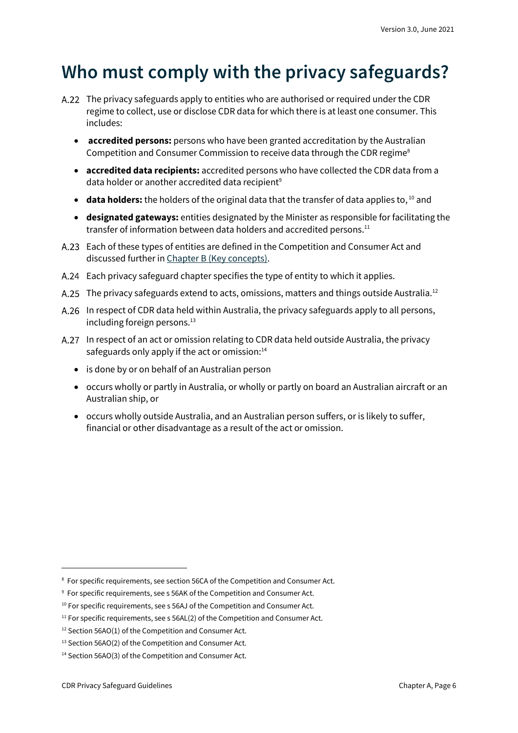## <span id="page-5-0"></span>**Who must comply with the privacy safeguards?**

- The privacy safeguards apply to entities who are authorised or required under the CDR regime to collect, use or disclose CDR data for which there is at least one consumer. This includes:
	- **accredited persons:** persons who have been granted accreditation by the Australian Competition and Consumer Commission to receive data through the CDR regime<sup>8</sup>
	- **accredited data recipients:** accredited persons who have collected the CDR data from a data holder or another accredited data recipient<sup>9</sup>
	- **data holders:** the holders of the original data that the transfer of data applies to, <sup>10</sup> and
	- **designated gateways:** entities designated by the Minister as responsible for facilitating the transfer of information between data holders and accredited persons.<sup>11</sup>
- Each of these types of entities are defined in the Competition and Consumer Act and discussed further in [Chapter B \(Key concepts\).](https://www.oaic.gov.au/consumer-data-right/cdr-privacy-safeguard-guidelines/chapter-b-key-concepts)
- Each privacy safeguard chapter specifies the type of entity to which it applies.
- A.25 The privacy safeguards extend to acts, omissions, matters and things outside Australia.<sup>12</sup>
- A.26 In respect of CDR data held within Australia, the privacy safeguards apply to all persons, including foreign persons.<sup>13</sup>
- A.27 In respect of an act or omission relating to CDR data held outside Australia, the privacy safeguards only apply if the act or omission: $14$ 
	- is done by or on behalf of an Australian person
	- occurs wholly or partly in Australia, or wholly or partly on board an Australian aircraft or an Australian ship, or
	- occurs wholly outside Australia, and an Australian person suffers, or is likely to suffer, financial or other disadvantage as a result of the act or omission.

<sup>&</sup>lt;sup>8</sup> For specific requirements, see section 56CA of the Competition and Consumer Act.

<sup>&</sup>lt;sup>9</sup> For specific requirements, see s 56AK of the Competition and Consumer Act.

 $10$  For specific requirements, see s 56AJ of the Competition and Consumer Act.

 $11$  For specific requirements, see s 56AL(2) of the Competition and Consumer Act.

<sup>&</sup>lt;sup>12</sup> Section 56AO(1) of the Competition and Consumer Act.

<sup>&</sup>lt;sup>13</sup> Section 56AO(2) of the Competition and Consumer Act.

<sup>14</sup> Section 56AO(3) of the Competition and Consumer Act.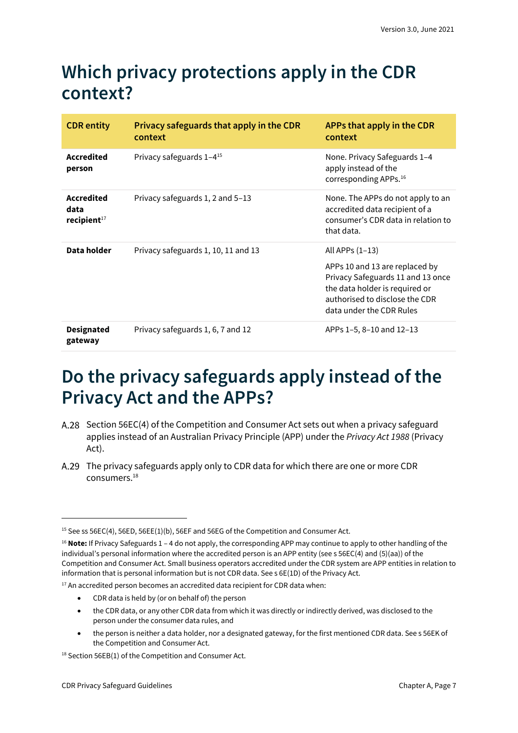## <span id="page-6-0"></span>**Which privacy protections apply in the CDR context?**

| <b>CDR</b> entity                           | Privacy safeguards that apply in the CDR<br>context | APPs that apply in the CDR<br>context                                                                                                                                                    |
|---------------------------------------------|-----------------------------------------------------|------------------------------------------------------------------------------------------------------------------------------------------------------------------------------------------|
| <b>Accredited</b><br>person                 | Privacy safeguards 1-4 <sup>15</sup>                | None. Privacy Safeguards 1-4<br>apply instead of the<br>corresponding APPs. <sup>16</sup>                                                                                                |
| <b>Accredited</b><br>data<br>recipient $17$ | Privacy safeguards 1, 2 and 5–13                    | None. The APPs do not apply to an<br>accredited data recipient of a<br>consumer's CDR data in relation to<br>that data.                                                                  |
| Data holder                                 | Privacy safeguards 1, 10, 11 and 13                 | All APPs $(1-13)$<br>APPs 10 and 13 are replaced by<br>Privacy Safeguards 11 and 13 once<br>the data holder is required or<br>authorised to disclose the CDR<br>data under the CDR Rules |
| <b>Designated</b><br>gateway                | Privacy safeguards 1, 6, 7 and 12                   | APPs 1-5, 8-10 and 12-13                                                                                                                                                                 |

### <span id="page-6-1"></span>**Do the privacy safeguards apply instead of the Privacy Act and the APPs?**

- A.28 Section 56EC(4) of the Competition and Consumer Act sets out when a privacy safeguard applies instead of an Australian Privacy Principle (APP) under the *Privacy Act 1988* (Privacy Act).
- A.29 The privacy safeguards apply only to CDR data for which there are one or more CDR consumers. 18

- CDR data is held by (or on behalf of) the person
- the CDR data, or any other CDR data from which it was directly or indirectly derived, was disclosed to the person under the consumer data rules, and
- the person is neither a data holder, nor a designated gateway, for the first mentioned CDR data. See s 56EK of the Competition and Consumer Act.

<sup>&</sup>lt;sup>15</sup> See ss 56EC(4), 56ED, 56EE(1)(b), 56EF and 56EG of the Competition and Consumer Act.

<sup>16</sup> **Note:** If Privacy Safeguards 1 – 4 do not apply, the corresponding APP may continue to apply to other handling of the individual's personal information where the accredited person is an APP entity (see s 56EC(4) and (5)(aa)) of the Competition and Consumer Act. Small business operators accredited under the CDR system are APP entities in relation to information that is personal information but is not CDR data. See s 6E(1D) of the Privacy Act.

 $17$  An accredited person becomes an accredited data recipient for CDR data when:

<sup>&</sup>lt;sup>18</sup> Section 56EB(1) of the Competition and Consumer Act.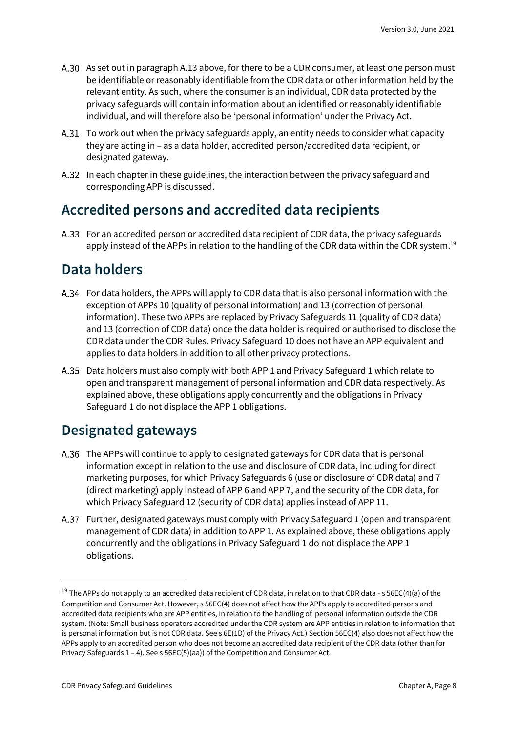- A.30 As set out in paragraph A.13 above, for there to be a CDR consumer, at least one person must be identifiable or reasonably identifiable from the CDR data or other information held by the relevant entity. As such, where the consumer is an individual, CDR data protected by the privacy safeguards will contain information about an identified or reasonably identifiable individual, and will therefore also be 'personal information' under the Privacy Act.
- A.31 To work out when the privacy safeguards apply, an entity needs to consider what capacity they are acting in – as a data holder, accredited person/accredited data recipient, or designated gateway.
- A.32 In each chapter in these guidelines, the interaction between the privacy safeguard and corresponding APP is discussed.

#### <span id="page-7-0"></span>**Accredited persons and accredited data recipients**

For an accredited person or accredited data recipient of CDR data, the privacy safeguards apply instead of the APPs in relation to the handling of the CDR data within the CDR system.<sup>19</sup>

#### <span id="page-7-1"></span>**Data holders**

- For data holders, the APPs will apply to CDR data that is also personal information with the exception of APPs 10 (quality of personal information) and 13 (correction of personal information). These two APPs are replaced by Privacy Safeguards 11 (quality of CDR data) and 13 (correction of CDR data) once the data holder is required or authorised to disclose the CDR data under the CDR Rules. Privacy Safeguard 10 does not have an APP equivalent and applies to data holders in addition to all other privacy protections.
- A.35 Data holders must also comply with both APP 1 and Privacy Safeguard 1 which relate to open and transparent management of personal information and CDR data respectively. As explained above, these obligations apply concurrently and the obligations in Privacy Safeguard 1 do not displace the APP 1 obligations.

#### <span id="page-7-2"></span>**Designated gateways**

- The APPs will continue to apply to designated gateways for CDR data that is personal information except in relation to the use and disclosure of CDR data, including for direct marketing purposes, for which Privacy Safeguards 6 (use or disclosure of CDR data) and 7 (direct marketing) apply instead of APP 6 and APP 7, and the security of the CDR data, for which Privacy Safeguard 12 (security of CDR data) applies instead of APP 11.
- Further, designated gateways must comply with Privacy Safeguard 1 (open and transparent management of CDR data) in addition to APP 1. As explained above, these obligations apply concurrently and the obligations in Privacy Safeguard 1 do not displace the APP 1 obligations.

<sup>&</sup>lt;sup>19</sup> The APPs do not apply to an accredited data recipient of CDR data, in relation to that CDR data - s 56EC(4)(a) of the Competition and Consumer Act. However, s 56EC(4) does not affect how the APPs apply to accredited persons and accredited data recipients who are APP entities, in relation to the handling of personal information outside the CDR system. (Note: Small business operators accredited under the CDR system are APP entities in relation to information that is personal information but is not CDR data. See s 6E(1D) of the Privacy Act.) Section 56EC(4) also does not affect how the APPs apply to an accredited person who does not become an accredited data recipient of the CDR data (other than for Privacy Safeguards 1 – 4). See s 56EC(5)(aa)) of the Competition and Consumer Act.